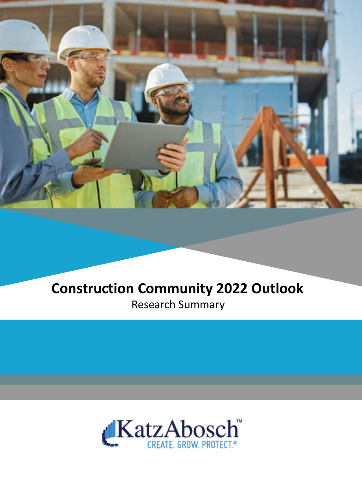

## **Construction Community 2022 Outlook** Research Summary

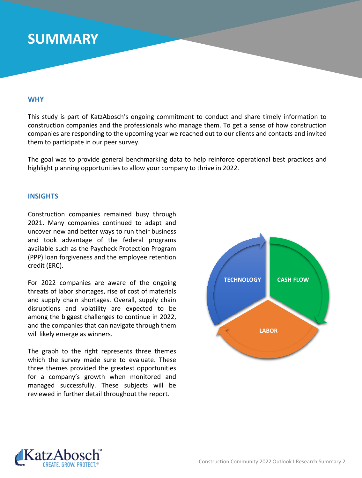## **SUMMARY**

### **WHY**

This study is part of KatzAbosch's ongoing commitment to conduct and share timely information to construction companies and the professionals who manage them. To get a sense of how construction companies are responding to the upcoming year we reached out to our clients and contacts and invited them to participate in our peer survey.

The goal was to provide general benchmarking data to help reinforce operational best practices and highlight planning opportunities to allow your company to thrive in 2022.

### **INSIGHTS**

Construction companies remained busy through 2021. Many companies continued to adapt and uncover new and better ways to run their business and took advantage of the federal programs available such as the Paycheck Protection Program (PPP) loan forgiveness and the employee retention credit (ERC).

For 2022 companies are aware of the ongoing threats of labor shortages, rise of cost of materials and supply chain shortages. Overall, supply chain disruptions and volatility are expected to be among the biggest challenges to continue in 2022, and the companies that can navigate through them will likely emerge as winners.

The graph to the right represents three themes which the survey made sure to evaluate. These three themes provided the greatest opportunities for a company's growth when monitored and managed successfully. These subjects will be reviewed in further detail throughout the report.



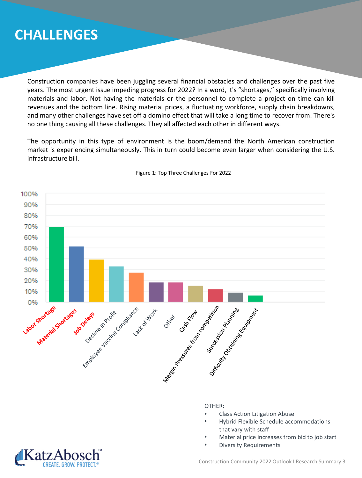## **CHALLENGES**

Construction companies have been juggling several financial obstacles and challenges over the past five years. The most urgent issue impeding progress for 2022? In a word, it's "shortages," specifically involving materials and labor. Not having the materials or the personnel to complete a project on time can kill revenues and the bottom line. Rising material prices, a fluctuating workforce, supply chain breakdowns, and many other challenges have set off a domino effect that will take a long time to recover from. There's no one thing causing all these challenges. They all affected each other in different ways.

The opportunity in this type of environment is the boom/demand the North American construction market is experiencing simultaneously. This in turn could become even larger when considering the U.S. infrastructure bill.



#### Figure 1: Top Three Challenges For 2022

OTHER:

- Class Action Litigation Abuse
- Hybrid Flexible Schedule accommodations that vary with staff
- Material price increases from bid to job start
- Diversity Requirements



Construction Community 2022 Outlook I Research Summary 3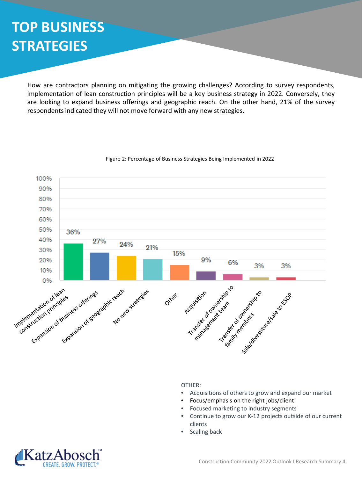# **TOP BUSINESS STRATEGIES**

How are contractors planning on mitigating the growing challenges? According to survey respondents, implementation of lean construction principles will be a key business strategy in 2022. Conversely, they are looking to expand business offerings and geographic reach. On the other hand, 21% of the survey respondents indicated they will not move forward with any new strategies.



#### Figure 2: Percentage of Business Strategies Being Implemented in 2022

OTHER:

- Acquisitions of others to grow and expand our market
- Focus/emphasis on the right jobs/client
- Focused marketing to industry segments
- Continue to grow our K-12 projects outside of our current clients
- Scaling back

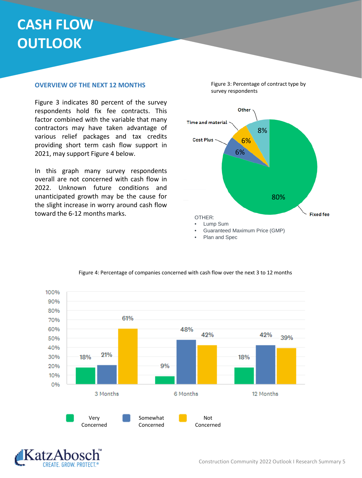# **CASH FLOW OUTLOOK**

### **OVERVIEW OF THE NEXT 12 MONTHS**

Figure 3 indicates 80 percent of the survey respondents hold fix fee contracts. This factor combined with the variable that many contractors may have taken advantage of various relief packages and tax credits providing short term cash flow support in 2021, may support Figure 4 below.

In this graph many survey respondents overall are not concerned with cash flow in 2022. Unknown future conditions and unanticipated growth may be the cause for the slight increase in worry around cash flow toward the 6-12 months marks.



• Plan and Spec



#### Figure 4: Percentage of companies concerned with cash flow over the next 3 to 12 months



Figure 3: Percentage of contract type by survey respondents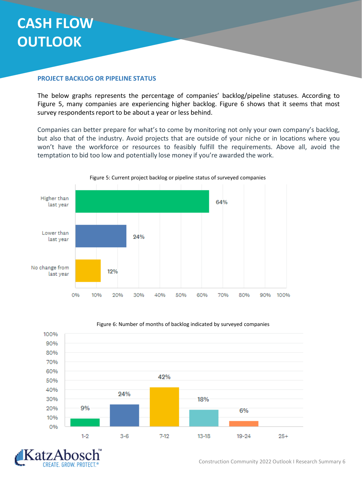# **CASH FLOW OUTLOOK**

### **PROJECT BACKLOG OR PIPELINE STATUS**

The below graphs represents the percentage of companies' backlog/pipeline statuses. According to Figure 5, many companies are experiencing higher backlog. Figure 6 shows that it seems that most survey respondents report to be about a year or less behind.

Companies can better prepare for what's to come by monitoring not only your own company's backlog, but also that of the industry. Avoid projects that are outside of your niche or in locations where you won't have the workforce or resources to feasibly fulfill the requirements. Above all, avoid the temptation to bid too low and potentially lose money if you're awarded the work.





#### Figure 6: Number of months of backlog indicated by surveyed companies

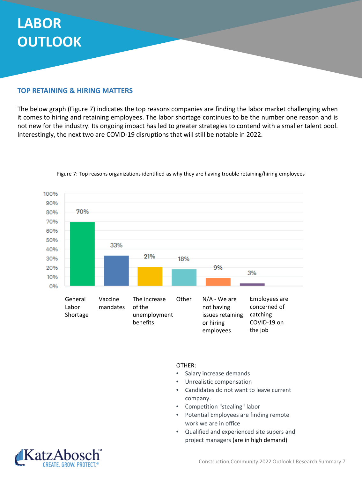# **LABOR OUTLOOK**

### **TOP RETAINING & HIRING MATTERS**

The below graph (Figure 7) indicates the top reasons companies are finding the labor market challenging when it comes to hiring and retaining employees. The labor shortage continues to be the number one reason and is not new for the industry. Its ongoing impact has led to greater strategies to contend with a smaller talent pool. Interestingly, the next two are COVID-19 disruptions that will still be notable in 2022.



Figure 7: Top reasons organizations identified as why they are having trouble retaining/hiring employees

OTHER:

- Salary increase demands
- Unrealistic compensation
- Candidates do not want to leave current company.
- Competition "stealing" labor
- Potential Employees are finding remote work we are in office
- Qualified and experienced site supers and project managers (are in high demand)

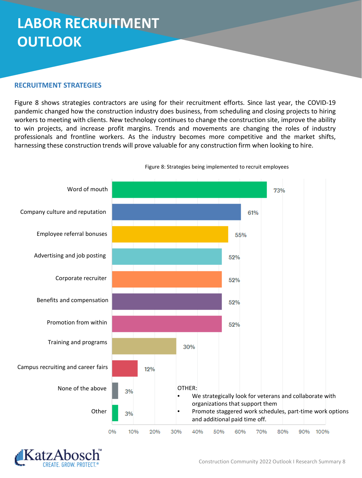# **LABOR RECRUITMENT OUTLOOK**

### **RECRUITMENT STRATEGIES**

Figure 8 shows strategies contractors are using for their recruitment efforts. Since last year, the COVID-19 pandemic changed how the construction industry does business, from scheduling and closing projects to hiring workers to meeting with clients. New technology continues to change the construction site, improve the ability to win projects, and increase profit margins. Trends and movements are changing the roles of industry professionals and frontline workers. As the industry becomes more competitive and the market shifts, harnessing these construction trends will prove valuable for any construction firm when looking to hire.



Figure 8: Strategies being implemented to recruit employees

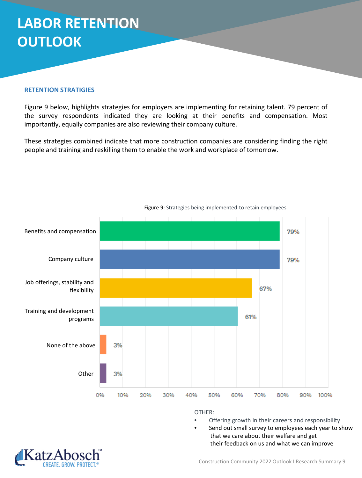# **LABOR RETENTION OUTLOOK**

### **RETENTION STRATIGIES**

Figure 9 below, highlights strategies for employers are implementing for retaining talent. 79 percent of the survey respondents indicated they are looking at their benefits and compensation. Most importantly, equally companies are also reviewing their company culture.

These strategies combined indicate that more construction companies are considering finding the right people and training and reskilling them to enable the work and workplace of tomorrow.



Figure 9: Strategies being implemented to retain employees

OTHER:

- Offering growth in their careers and responsibility
- Send out small survey to employees each year to show that we care about their welfare and get their feedback on us and what we can improve

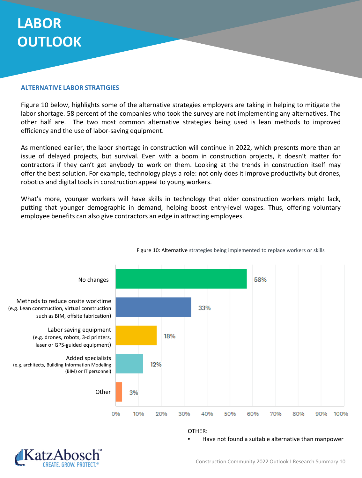# **LABOR OUTLOOK**

### **ALTERNATIVE LABOR STRATIGIES**

Figure 10 below, highlights some of the alternative strategies employers are taking in helping to mitigate the labor shortage. 58 percent of the companies who took the survey are not implementing any alternatives. The other half are. The two most common alternative strategies being used is lean methods to improved efficiency and the use of labor-saving equipment.

As mentioned earlier, the labor shortage in construction will continue in 2022, which presents more than an issue of delayed projects, but survival. Even with a boom in construction projects, it doesn't matter for contractors if they can't get anybody to work on them. Looking at the trends in construction itself may offer the best solution. For example, technology plays a role: not only does it improve productivity but drones, robotics and digital tools in construction appeal to young workers.

What's more, younger workers will have skills in technology that older construction workers might lack, putting that younger demographic in demand, helping boost entry-level wages. Thus, offering voluntary employee benefits can also give contractors an edge in attracting employees.



Figure 10: Alternative strategies being implemented to replace workers or skills

OTHER:

• Have not found a suitable alternative than manpower

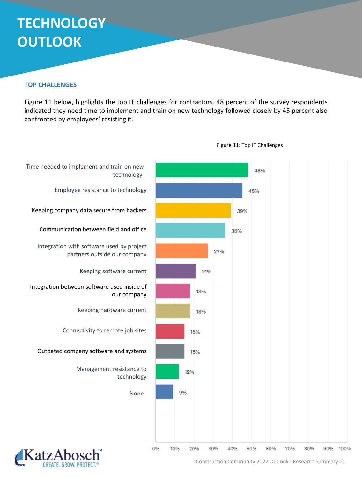# **TECHNOLOGY OUTLOOK**

### **TOP CHALLENGES**

Figure 11 below, highlights the top IT challenges for contractors. 48 percent of the survey respondents indicated they need time to implement and train on new technology followed closely by 45 percent also confronted by employees' resisting it.



Construction Community 2022 Outlook I Research Summary 11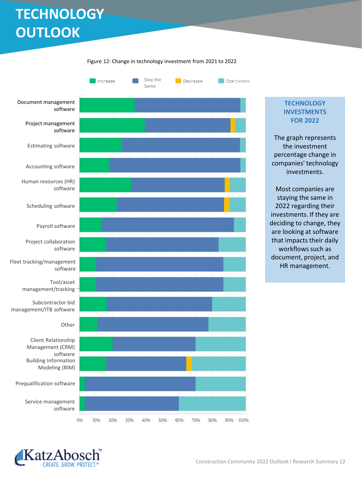# **TECHNOLOGY OUTLOOK**



Figure 12: Change in technology investment from 2021 to 2022

### **TECHNOLOGY INVESTMENTS FOR 2022**

The graph represents the investment percentage change in companies' technology investments.

Most companies are staying the same in 2022 regarding their investments. If they are deciding to change, they are looking at software that impacts their daily workflows such as document, project, and HR management.

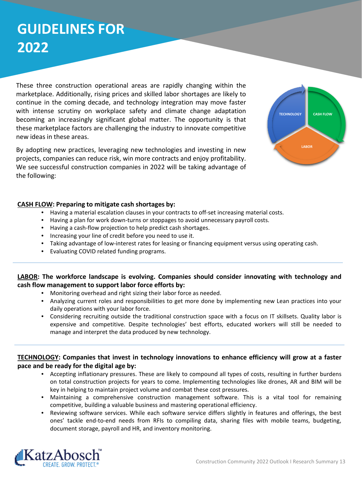# **GUIDELINES FOR 2022**

These three construction operational areas are rapidly changing within the marketplace. Additionally, rising prices and skilled labor shortages are likely to continue in the coming decade, and technology integration may move faster with intense scrutiny on workplace safety and climate change adaptation becoming an increasingly significant global matter. The opportunity is that these marketplace factors are challenging the industry to innovate competitive new ideas in these areas.

By adopting new practices, leveraging new technologies and investing in new projects, companies can reduce risk, win more contracts and enjoy profitability. We see successful construction companies in 2022 will be taking advantage of the following:



### **CASH FLOW: Preparing to mitigate cash shortages by:**

- Having a material escalation clauses in your contracts to off-set increasing material costs.
- Having a plan for work down-turns or stoppages to avoid unnecessary payroll costs.
- Having a cash-flow projection to help predict cash shortages.
- Increasing your line of credit before you need to use it.
- Taking advantage of low-interest rates for leasing or financing equipment versus using operating cash.
- Evaluating COVID related funding programs.

### **LABOR: The workforce landscape is evolving. Companies should consider innovating with technology and cash flow management to support labor force efforts by:**

- Monitoring overhead and right sizing their labor force as needed.
- Analyzing current roles and responsibilities to get more done by implementing new Lean practices into your daily operations with your labor force.
- Considering recruiting outside the traditional construction space with a focus on IT skillsets. Quality labor is expensive and competitive. Despite technologies' best efforts, educated workers will still be needed to manage and interpret the data produced by new technology.

### **TECHNOLOGY: Companies that invest in technology innovations to enhance efficiency will grow at a faster pace and be ready for the digital age by:**

- Accepting inflationary pressures. These are likely to compound all types of costs, resulting in further burdens on total construction projects for years to come. Implementing technologies like drones, AR and BIM will be key in helping to maintain project volume and combat these cost pressures.
- Maintaining a comprehensive construction management software. This is a vital tool for remaining competitive, building a valuable business and mastering operational efficiency.
- Reviewing software services. While each software service differs slightly in features and offerings, the best ones' tackle end-to-end needs from RFIs to compiling data, sharing files with mobile teams, budgeting, document storage, payroll and HR, and inventory monitoring.